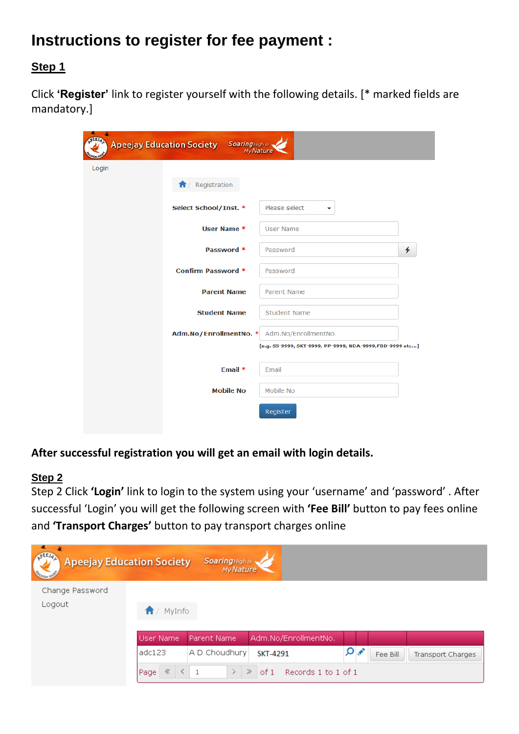# **Instructions to register for fee payment :**

# **Step 1**

Click **'Register'** link to register yourself with the following details. [\* marked fields are mandatory.]

| ÷<br>业<br><b>REEZ</b> | <b>Apeejay Education Society</b><br>Soaring High is | My Nature                                                |   |
|-----------------------|-----------------------------------------------------|----------------------------------------------------------|---|
| Login                 |                                                     |                                                          |   |
|                       | $\bigcap$ / Registration                            |                                                          |   |
|                       | Select School/Inst. *                               | Please select<br>▼                                       |   |
|                       | User Name *                                         | <b>User Name</b>                                         |   |
|                       | Password *                                          | Password                                                 | 4 |
|                       | <b>Confirm Password *</b>                           | Password                                                 |   |
|                       | <b>Parent Name</b>                                  | Parent Name                                              |   |
|                       | <b>Student Name</b>                                 | <b>Student Name</b>                                      |   |
|                       | Adm.No/EnrollmentNo. *                              | Adm.No/EnrollmentNo.                                     |   |
|                       |                                                     | [e.g. SS-9999, SKT-9999, PP-9999, NDA-9999,FBD-9999 etc] |   |
|                       | Email *                                             | Email                                                    |   |
|                       | <b>Mobile No</b>                                    | Mobile No                                                |   |
|                       |                                                     | Register                                                 |   |

# **After successful registration you will get an email with login details.**

### **Step 2**

Step 2 Click **'Login'** link to login to the system using your 'username' and 'password' . After successful 'Login' you will get the following screen with **'Fee Bill'** button to pay fees online and **'Transport Charges'** button to pay transport charges online

| <b>REETA</b><br><b>Apeejay Education Society</b> |                      | Soaring High is<br>My Nature |                                        |               |          |                   |
|--------------------------------------------------|----------------------|------------------------------|----------------------------------------|---------------|----------|-------------------|
| Change Password                                  |                      |                              |                                        |               |          |                   |
| Logout                                           | $\bigwedge$ / MyInfo |                              |                                        |               |          |                   |
|                                                  | User Name,           | Parent Name                  | Adm.No/EnrollmentNo.                   |               |          |                   |
|                                                  | adc123               | A D Choudhury                | <b>SKT-4291</b>                        | ρ<br><b>A</b> | Fee Bill | Transport Charges |
|                                                  | 《<br>Page            | $\rightarrow$                | $\gg$<br>Records 1 to 1 of 1<br>l of 1 |               |          |                   |